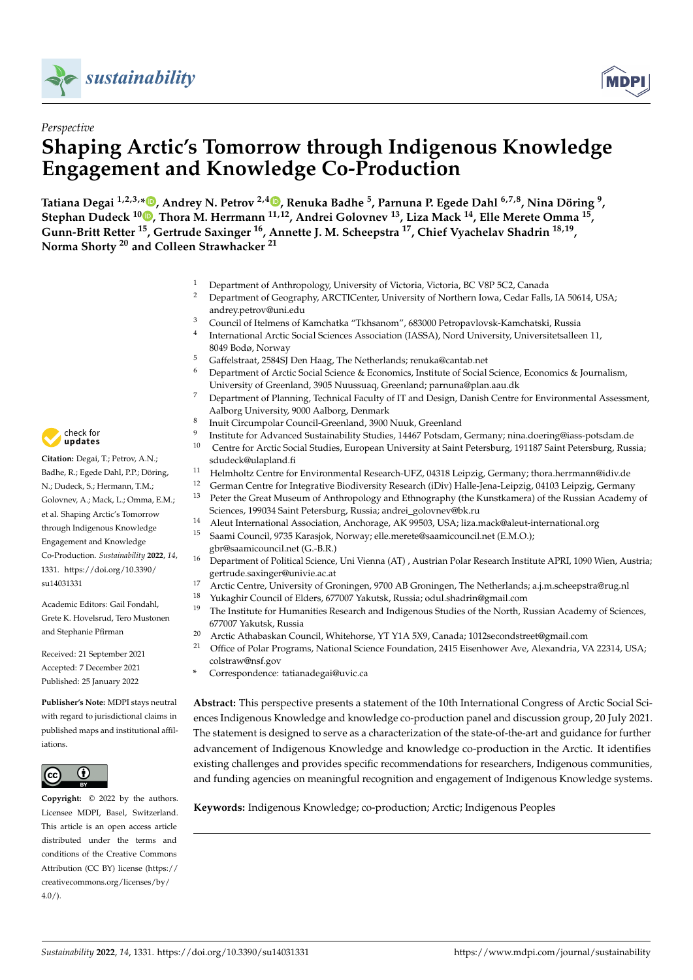



# *Perspective* **Shaping Arctic's Tomorrow through Indigenous Knowledge Engagement and Knowledge Co-Production**

**Tatiana Degai 1,2,3,[\\*](https://orcid.org/0000-0002-5201-7555) , Andrey N. Petrov 2,4 [,](https://orcid.org/0000-0003-1345-2842) Renuka Badhe <sup>5</sup> , Parnuna P. Egede Dahl 6,7,8, Nina Döring <sup>9</sup> , Stephan Dudeck 1[0](https://orcid.org/0000-0002-3883-1251) , Thora M. Herrmann 11,12, Andrei Golovnev <sup>13</sup>, Liza Mack <sup>14</sup>, Elle Merete Omma <sup>15</sup> , Gunn-Britt Retter <sup>15</sup>, Gertrude Saxinger <sup>16</sup>, Annette J. M. Scheepstra <sup>17</sup>, Chief Vyachelav Shadrin 18,19 , Norma Shorty <sup>20</sup> and Colleen Strawhacker <sup>21</sup>**

- <sup>1</sup> Department of Anthropology, University of Victoria, Victoria, BC V8P 5C2, Canada
- <sup>2</sup> Department of Geography, ARCTICenter, University of Northern Iowa, Cedar Falls, IA 50614, USA; andrey.petrov@uni.edu
- <sup>3</sup> Council of Itelmens of Kamchatka "Tkhsanom", 683000 Petropavlovsk-Kamchatski, Russia
- 4 International Arctic Social Sciences Association (IASSA), Nord University, Universitetsalleen 11, 8049 Bodø, Norway
- <sup>5</sup> Gaffelstraat, 2584SJ Den Haag, The Netherlands; renuka@cantab.net
- <sup>6</sup> Department of Arctic Social Science & Economics, Institute of Social Science, Economics & Journalism, University of Greenland, 3905 Nuussuaq, Greenland; parnuna@plan.aau.dk
- <sup>7</sup> Department of Planning, Technical Faculty of IT and Design, Danish Centre for Environmental Assessment, Aalborg University, 9000 Aalborg, Denmark
- 8 Inuit Circumpolar Council-Greenland, 3900 Nuuk, Greenland
- $\overline{Q}$ Institute for Advanced Sustainability Studies, 14467 Potsdam, Germany; nina.doering@iass-potsdam.de
- <sup>10</sup> Centre for Arctic Social Studies, European University at Saint Petersburg, 191187 Saint Petersburg, Russia; sdudeck@ulapland.fi
- <sup>11</sup> Helmholtz Centre for Environmental Research-UFZ, 04318 Leipzig, Germany; thora.herrmann@idiv.de<br><sup>12</sup> Cerman Centre for Integrative Biodiversity Research (iDiv) Hallo Jena Leipzig, 04103 Leipzig, Cermany
- 
- <sup>12</sup> German Centre for Integrative Biodiversity Research (iDiv) Halle-Jena-Leipzig, 04103 Leipzig, Germany<br><sup>13</sup> Peter the Great Museum of Anthropology and Ethnography (the Kunstkamera) of the Bussian Academy Peter the Great Museum of Anthropology and Ethnography (the Kunstkamera) of the Russian Academy of Sciences, 199034 Saint Petersburg, Russia; andrei\_golovnev@bk.ru
- <sup>14</sup> Aleut International Association, Anchorage, AK 99503, USA; liza.mack@aleut-international.org
- <sup>15</sup> Saami Council, 9735 Karasjok, Norway; elle.merete@saamicouncil.net (E.M.O.); gbr@saamicouncil.net (G.-B.R.)
- <sup>16</sup> Department of Political Science, Uni Vienna (AT) , Austrian Polar Research Institute APRI, 1090 Wien, Austria; gertrude.saxinger@univie.ac.at
- <sup>17</sup> Arctic Centre, University of Groningen, 9700 AB Groningen, The Netherlands; a.j.m.scheepstra@rug.nl
- <sup>18</sup> Yukaghir Council of Elders, 677007 Yakutsk, Russia; odul.shadrin@gmail.com
- $19$  The Institute for Humanities Research and Indigenous Studies of the North, Russian Academy of Sciences, 677007 Yakutsk, Russia
- <sup>20</sup> Arctic Athabaskan Council, Whitehorse, YT Y1A 5X9, Canada; 1012secondstreet@gmail.com<br><sup>21</sup> Office of Polar Programs, National Science Foundation, 2415 Fiscaphouer, Ave. Alexandria, V.
- <sup>21</sup> Office of Polar Programs, National Science Foundation, 2415 Eisenhower Ave, Alexandria, VA 22314, USA; colstraw@nsf.gov
- **\*** Correspondence: tatianadegai@uvic.ca

**Abstract:** This perspective presents a statement of the 10th International Congress of Arctic Social Sciences Indigenous Knowledge and knowledge co-production panel and discussion group, 20 July 2021. The statement is designed to serve as a characterization of the state-of-the-art and guidance for further advancement of Indigenous Knowledge and knowledge co-production in the Arctic. It identifies existing challenges and provides specific recommendations for researchers, Indigenous communities, and funding agencies on meaningful recognition and engagement of Indigenous Knowledge systems.

**Keywords:** Indigenous Knowledge; co-production; Arctic; Indigenous Peoples



**Citation:** Degai, T.; Petrov, A.N.; Badhe, R.; Egede Dahl, P.P.; Döring, N.; Dudeck, S.; Hermann, T.M.; Golovnev, A.; Mack, L.; Omma, E.M.; et al. Shaping Arctic's Tomorrow through Indigenous Knowledge Engagement and Knowledge Co-Production. *Sustainability* **2022**, *14*, 1331. [https://doi.org/10.3390/](https://doi.org/10.3390/su14031331) [su14031331](https://doi.org/10.3390/su14031331)

Academic Editors: Gail Fondahl, Grete K. Hovelsrud, Tero Mustonen and Stephanie Pfirman

Received: 21 September 2021 Accepted: 7 December 2021 Published: 25 January 2022

**Publisher's Note:** MDPI stays neutral with regard to jurisdictional claims in published maps and institutional affiliations.



**Copyright:** © 2022 by the authors. Licensee MDPI, Basel, Switzerland. This article is an open access article distributed under the terms and conditions of the Creative Commons Attribution (CC BY) license [\(https://](https://creativecommons.org/licenses/by/4.0/) [creativecommons.org/licenses/by/](https://creativecommons.org/licenses/by/4.0/)  $4.0/$ ).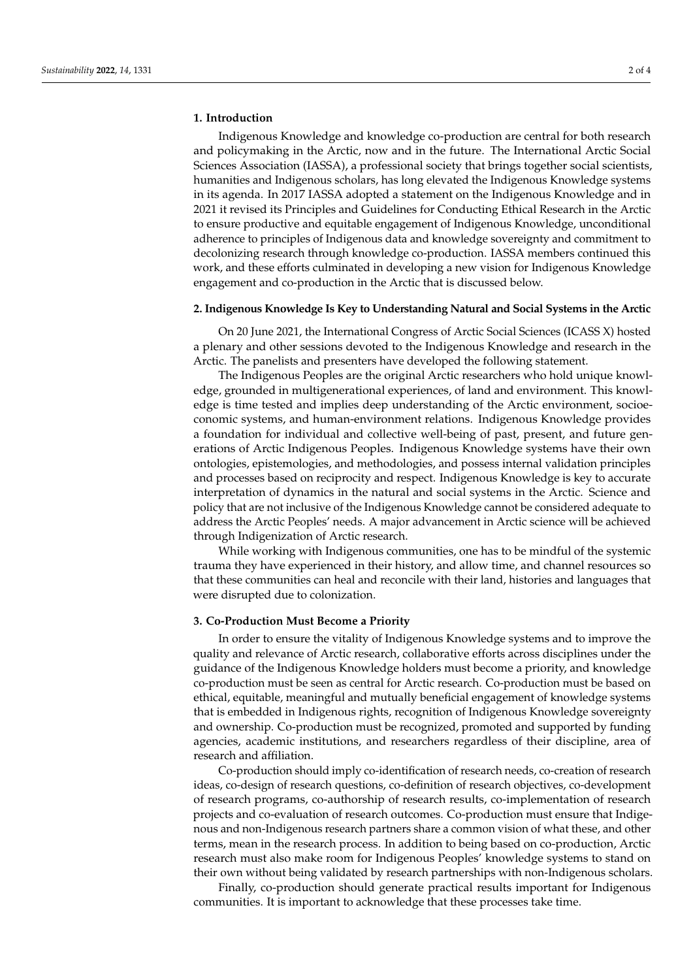## **1. Introduction**

Indigenous Knowledge and knowledge co-production are central for both research and policymaking in the Arctic, now and in the future. The International Arctic Social Sciences Association (IASSA), a professional society that brings together social scientists, humanities and Indigenous scholars, has long elevated the Indigenous Knowledge systems in its agenda. In 2017 IASSA adopted a statement on the Indigenous Knowledge and in 2021 it revised its Principles and Guidelines for Conducting Ethical Research in the Arctic to ensure productive and equitable engagement of Indigenous Knowledge, unconditional adherence to principles of Indigenous data and knowledge sovereignty and commitment to decolonizing research through knowledge co-production. IASSA members continued this work, and these efforts culminated in developing a new vision for Indigenous Knowledge engagement and co-production in the Arctic that is discussed below.

#### **2. Indigenous Knowledge Is Key to Understanding Natural and Social Systems in the Arctic**

On 20 June 2021, the International Congress of Arctic Social Sciences (ICASS X) hosted a plenary and other sessions devoted to the Indigenous Knowledge and research in the Arctic. The panelists and presenters have developed the following statement.

The Indigenous Peoples are the original Arctic researchers who hold unique knowledge, grounded in multigenerational experiences, of land and environment. This knowledge is time tested and implies deep understanding of the Arctic environment, socioeconomic systems, and human-environment relations. Indigenous Knowledge provides a foundation for individual and collective well-being of past, present, and future generations of Arctic Indigenous Peoples. Indigenous Knowledge systems have their own ontologies, epistemologies, and methodologies, and possess internal validation principles and processes based on reciprocity and respect. Indigenous Knowledge is key to accurate interpretation of dynamics in the natural and social systems in the Arctic. Science and policy that are not inclusive of the Indigenous Knowledge cannot be considered adequate to address the Arctic Peoples' needs. A major advancement in Arctic science will be achieved through Indigenization of Arctic research.

While working with Indigenous communities, one has to be mindful of the systemic trauma they have experienced in their history, and allow time, and channel resources so that these communities can heal and reconcile with their land, histories and languages that were disrupted due to colonization.

### **3. Co-Production Must Become a Priority**

In order to ensure the vitality of Indigenous Knowledge systems and to improve the quality and relevance of Arctic research, collaborative efforts across disciplines under the guidance of the Indigenous Knowledge holders must become a priority, and knowledge co-production must be seen as central for Arctic research. Co-production must be based on ethical, equitable, meaningful and mutually beneficial engagement of knowledge systems that is embedded in Indigenous rights, recognition of Indigenous Knowledge sovereignty and ownership. Co-production must be recognized, promoted and supported by funding agencies, academic institutions, and researchers regardless of their discipline, area of research and affiliation.

Co-production should imply co-identification of research needs, co-creation of research ideas, co-design of research questions, co-definition of research objectives, co-development of research programs, co-authorship of research results, co-implementation of research projects and co-evaluation of research outcomes. Co-production must ensure that Indigenous and non-Indigenous research partners share a common vision of what these, and other terms, mean in the research process. In addition to being based on co-production, Arctic research must also make room for Indigenous Peoples' knowledge systems to stand on their own without being validated by research partnerships with non-Indigenous scholars.

Finally, co-production should generate practical results important for Indigenous communities. It is important to acknowledge that these processes take time.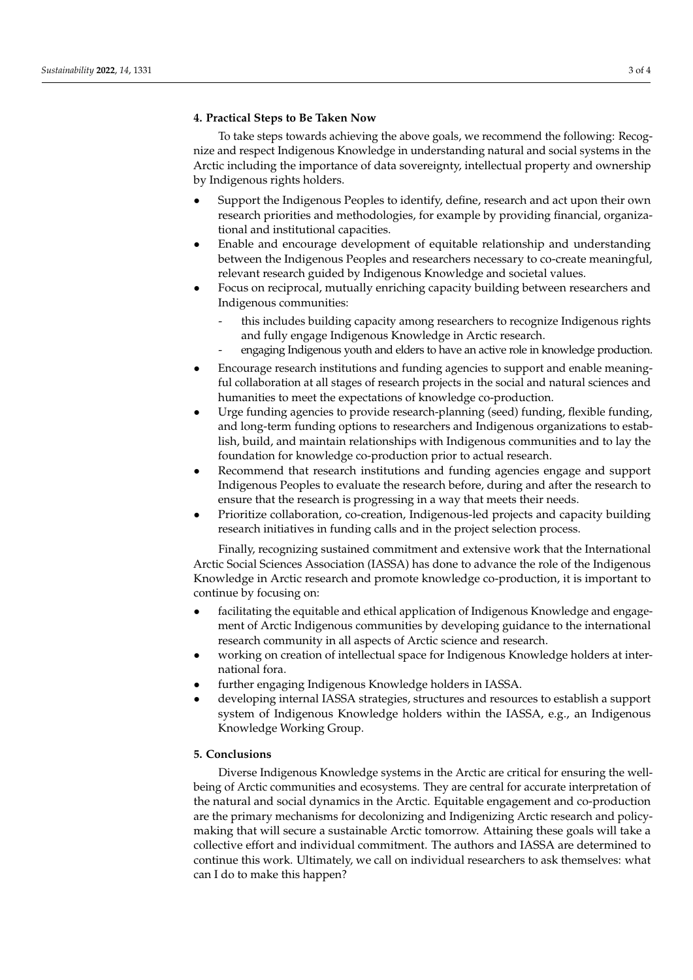## **4. Practical Steps to Be Taken Now**

To take steps towards achieving the above goals, we recommend the following: Recognize and respect Indigenous Knowledge in understanding natural and social systems in the Arctic including the importance of data sovereignty, intellectual property and ownership by Indigenous rights holders.

- Support the Indigenous Peoples to identify, define, research and act upon their own research priorities and methodologies, for example by providing financial, organizational and institutional capacities.
- Enable and encourage development of equitable relationship and understanding between the Indigenous Peoples and researchers necessary to co-create meaningful, relevant research guided by Indigenous Knowledge and societal values.
- Focus on reciprocal, mutually enriching capacity building between researchers and Indigenous communities:
	- this includes building capacity among researchers to recognize Indigenous rights and fully engage Indigenous Knowledge in Arctic research.
	- engaging Indigenous youth and elders to have an active role in knowledge production.
- Encourage research institutions and funding agencies to support and enable meaningful collaboration at all stages of research projects in the social and natural sciences and humanities to meet the expectations of knowledge co-production.
- Urge funding agencies to provide research-planning (seed) funding, flexible funding, and long-term funding options to researchers and Indigenous organizations to establish, build, and maintain relationships with Indigenous communities and to lay the foundation for knowledge co-production prior to actual research.
- Recommend that research institutions and funding agencies engage and support Indigenous Peoples to evaluate the research before, during and after the research to ensure that the research is progressing in a way that meets their needs.
- Prioritize collaboration, co-creation, Indigenous-led projects and capacity building research initiatives in funding calls and in the project selection process.

Finally, recognizing sustained commitment and extensive work that the International Arctic Social Sciences Association (IASSA) has done to advance the role of the Indigenous Knowledge in Arctic research and promote knowledge co-production, it is important to continue by focusing on:

- facilitating the equitable and ethical application of Indigenous Knowledge and engagement of Arctic Indigenous communities by developing guidance to the international research community in all aspects of Arctic science and research.
- working on creation of intellectual space for Indigenous Knowledge holders at international fora.
- further engaging Indigenous Knowledge holders in IASSA.
- developing internal IASSA strategies, structures and resources to establish a support system of Indigenous Knowledge holders within the IASSA, e.g., an Indigenous Knowledge Working Group.

## **5. Conclusions**

Diverse Indigenous Knowledge systems in the Arctic are critical for ensuring the wellbeing of Arctic communities and ecosystems. They are central for accurate interpretation of the natural and social dynamics in the Arctic. Equitable engagement and co-production are the primary mechanisms for decolonizing and Indigenizing Arctic research and policymaking that will secure a sustainable Arctic tomorrow. Attaining these goals will take a collective effort and individual commitment. The authors and IASSA are determined to continue this work. Ultimately, we call on individual researchers to ask themselves: what can I do to make this happen?